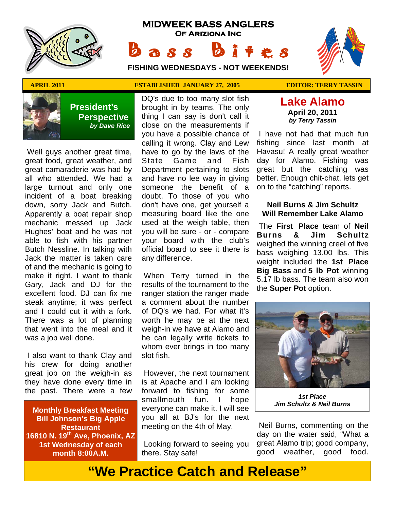

# **MIDWEEK BASS ANGLERS Of Ariziona Inc** Bass Bites

**FISHING WEDNESDAYS - NOT WEEKENDS!**







 **President's Perspective**   *by Dave Rice*

 Well guys another great time, great food, great weather, and great camaraderie was had by all who attended. We had a large turnout and only one incident of a boat breaking down, sorry Jack and Butch. Apparently a boat repair shop mechanic messed up Jack Hughes' boat and he was not able to fish with his partner Butch Nessline. In talking with Jack the matter is taken care of and the mechanic is going to make it right. I want to thank Gary, Jack and DJ for the excellent food. DJ can fix me steak anytime; it was perfect and I could cut it with a fork. There was a lot of planning that went into the meal and it was a job well done.

 I also want to thank Clay and his crew for doing another great job on the weigh-in as they have done every time in the past. There were a few

**Monthly Breakfast Meeting Bill Johnson's Big Apple Restaurant 16810 N. 19th Ave, Phoenix, AZ 1st Wednesday of each month 8:00A.M.** 

# **APRIL 2011 ESTABLISHED JANUARY 27, 2005 <b>EDITOR: TERRY TASSIN**

DQ's due to too many slot fish brought in by teams. The only thing I can say is don't call it close on the measurements if you have a possible chance of calling it wrong. Clay and Lew have to go by the laws of the State Game and Fish Department pertaining to slots and have no lee way in giving someone the benefit of a doubt. To those of you who don't have one, get yourself a measuring board like the one used at the weigh table, then you will be sure - or - compare your board with the club's official board to see it there is any difference.

 When Terry turned in the results of the tournament to the ranger station the ranger made a comment about the number of DQ's we had. For what it's worth he may be at the next weigh-in we have at Alamo and he can legally write tickets to whom ever brings in too many slot fish.

 However, the next tournament is at Apache and I am looking forward to fishing for some smallmouth fun. I hope everyone can make it. I will see you all at BJ's for the next meeting on the 4th of May.

 Looking forward to seeing you there. Stay safe!

# **Lake Alamo April 20, 2011**  *by Terry Tassin*

 I have not had that much fun fishing since last month at Havasu! A really great weather day for Alamo. Fishing was great but the catching was better. Enough chit-chat, lets get on to the "catching" reports.

## **Neil Burns & Jim Schultz Will Remember Lake Alamo**

 The **First Place** team of **Neil Burns & Jim Schultz**  weighed the winning creel of five bass weighing 13.00 lbs. This weight included the **1st Place Big Bass** and **5 lb Pot** winning 5.17 lb bass. The team also won the **Super Pot** option.



*1st Place Jim Schultz & Neil Burns* 

 Neil Burns, commenting on the day on the water said, "What a great Alamo trip; good company, good weather, good food.

# **"We Practice Catch and Release"**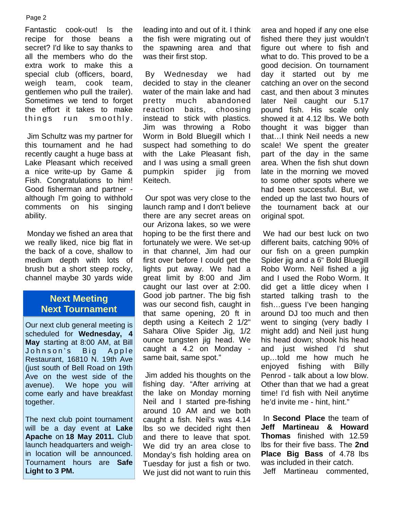#### Page 2

Fantastic cook-out! Is the recipe for those beans a secret? I'd like to say thanks to all the members who do the extra work to make this a special club (officers, board, weigh team, cook team, gentlemen who pull the trailer). Sometimes we tend to forget the effort it takes to make things run smoothly.

 Jim Schultz was my partner for this tournament and he had recently caught a huge bass at Lake Pleasant which received a nice write-up by Game & Fish. Congratulations to him! Good fisherman and partner although I'm going to withhold comments on his singing ability.

 Monday we fished an area that we really liked, nice big flat in the back of a cove, shallow to medium depth with lots of brush but a short steep rocky, channel maybe 30 yards wide

# **Next Meeting Next Tournament**

Our next club general meeting is scheduled for **Wednesday, 4 May** starting at 8:00 AM, at Bill Johnson's Big Apple Restaurant, 16810 N. 19th Ave (just south of Bell Road on 19th Ave on the west side of the avenue). We hope you will come early and have breakfast together.

The next club point tournament will be a day event at **Lake Apache** on **18 May 2011.** Club launch headquarters and weighin location will be announced. Tournament hours are **Safe Light to 3 PM.**

leading into and out of it. I think the fish were migrating out of the spawning area and that was their first stop.

 By Wednesday we had decided to stay in the cleaner water of the main lake and had pretty much abandoned reaction baits, choosing instead to stick with plastics. Jim was throwing a Robo Worm in Bold Bluegill which I suspect had something to do with the Lake Pleasant fish, and I was using a small green pumpkin spider jig from Keitech.

 Our spot was very close to the launch ramp and I don't believe there are any secret areas on our Arizona lakes, so we were hoping to be the first there and fortunately we were. We set-up in that channel, Jim had our first over before I could get the lights put away. We had a great limit by 8:00 and Jim caught our last over at 2:00. Good job partner. The big fish was our second fish, caught in that same opening, 20 ft in depth using a Keitech 2 1/2" Sahara Olive Spider Jig, 1/2 ounce tungsten jig head. We caught a 4.2 on Monday same bait, same spot."

 Jim added his thoughts on the fishing day. "After arriving at the lake on Monday morning Neil and I started pre-fishing around 10 AM and we both caught a fish. Neil's was 4.14 lbs so we decided right then and there to leave that spot. We did try an area close to Monday's fish holding area on Tuesday for just a fish or two. We just did not want to ruin this

area and hoped if any one else fished there they just wouldn't figure out where to fish and what to do. This proved to be a good decision. On tournament day it started out by me catching an over on the second cast, and then about 3 minutes later Neil caught our 5.17 pound fish. His scale only showed it at 4.12 lbs. We both thought it was bigger than that…I think Neil needs a new scale! We spent the greater part of the day in the same area. When the fish shut down late in the morning we moved to some other spots where we had been successful. But, we ended up the last two hours of the tournament back at our original spot.

 We had our best luck on two different baits, catching 90% of our fish on a green pumpkin Spider jig and a 6" Bold Bluegill Robo Worm. Neil fished a jig and I used the Robo Worm. It did get a little dicey when I started talking trash to the fish…guess I've been hanging around DJ too much and then went to singing (very badly I might add) and Neil just hung his head down; shook his head and just wished I'd shut up…told me how much he enjoyed fishing with Billy Penrod - talk about a low blow. Other than that we had a great time! I'd fish with Neil anytime he'd invite me - hint, hint."

 In **Second Place** the team of **Jeff Martineau & Howard Thomas** finished with 12.59 lbs for their five bass. The **2nd Place Big Bass** of 4.78 lbs was included in their catch.

Jeff Martineau commented,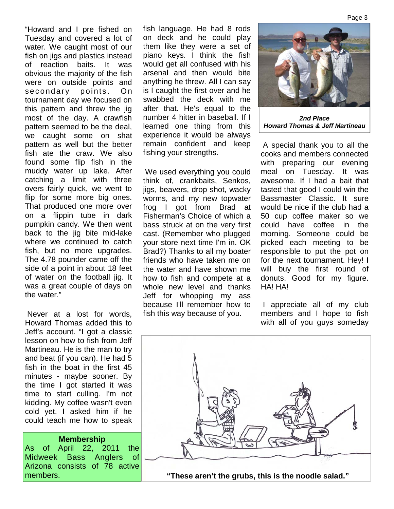"Howard and I pre fished on Tuesday and covered a lot of water. We caught most of our fish on jigs and plastics instead of reaction baits. It was obvious the majority of the fish were on outside points and secondary points. On tournament day we focused on this pattern and threw the jig most of the day. A crawfish pattern seemed to be the deal, we caught some on shat pattern as well but the better fish ate the craw. We also found some flip fish in the muddy water up lake. After catching a limit with three overs fairly quick, we went to flip for some more big ones. That produced one more over on a flippin tube in dark pumpkin candy. We then went back to the jig bite mid-lake where we continued to catch fish, but no more upgrades. The 4.78 pounder came off the side of a point in about 18 feet of water on the football jig. It was a great couple of days on the water."

 Never at a lost for words, Howard Thomas added this to Jeff's account. "I got a classic lesson on how to fish from Jeff Martineau. He is the man to try and beat (if you can). He had 5 fish in the boat in the first 45 minutes - maybe sooner. By the time I got started it was time to start culling. I'm not kidding. My coffee wasn't even cold yet. I asked him if he could teach me how to speak

#### **Membership**

As of April 22, 2011 the Midweek Bass Anglers of Arizona consists of 78 active

fish language. He had 8 rods on deck and he could play them like they were a set of piano keys. I think the fish would get all confused with his arsenal and then would bite anything he threw. All I can say is I caught the first over and he swabbed the deck with me after that. He's equal to the number 4 hitter in baseball. If I learned one thing from this experience it would be always remain confident and keep fishing your strengths.

 We used everything you could think of, crankbaits, Senkos, jigs, beavers, drop shot, wacky worms, and my new topwater frog I got from Brad at Fisherman's Choice of which a bass struck at on the very first cast. (Remember who plugged your store next time I'm in. OK Brad?) Thanks to all my boater friends who have taken me on the water and have shown me how to fish and compete at a whole new level and thanks Jeff for whopping my ass because I'll remember how to fish this way because of you.



Page 3

*Howard Thomas & Jeff Martineau*

 A special thank you to all the cooks and members connected with preparing our evening meal on Tuesday. It was awesome. If I had a bait that tasted that good I could win the Bassmaster Classic. It sure would be nice if the club had a 50 cup coffee maker so we could have coffee in the morning. Someone could be picked each meeting to be responsible to put the pot on for the next tournament. Hey! I will buy the first round of donuts. Good for my figure. HA! HA!

 I appreciate all of my club members and I hope to fish with all of you guys someday

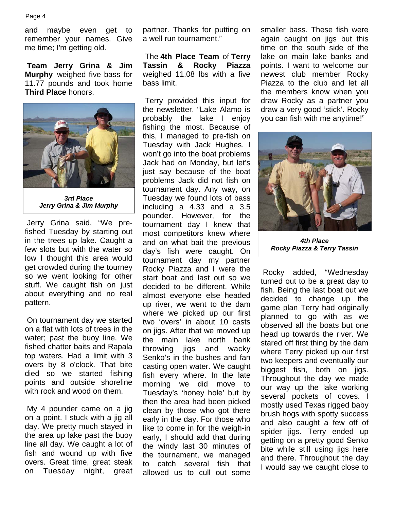and maybe even get to remember your names. Give me time; I'm getting old.

**Team Jerry Grina & Jim Murphy** weighed five bass for 11.77 pounds and took home **Third Place** honors.



*3rd Place Jerry Grina & Jim Murphy* 

 Jerry Grina said, "We prefished Tuesday by starting out in the trees up lake. Caught a few slots but with the water so low I thought this area would get crowded during the tourney so we went looking for other stuff. We caught fish on just about everything and no real pattern.

 On tournament day we started on a flat with lots of trees in the water; past the buoy line. We fished chatter baits and Rapala top waters. Had a limit with 3 overs by 8 o'clock. That bite died so we started fishing points and outside shoreline with rock and wood on them.

 My 4 pounder came on a jig on a point. I stuck with a jig all day. We pretty much stayed in the area up lake past the buoy line all day. We caught a lot of fish and wound up with five overs. Great time, great steak on Tuesday night, great partner. Thanks for putting on a well run tournament."

 The **4th Place Team** of **Terry Tassin & Rocky Piazza**  weighed 11.08 lbs with a five bass limit.

 Terry provided this input for the newsletter. "Lake Alamo is probably the lake I enjoy fishing the most. Because of this, I managed to pre-fish on Tuesday with Jack Hughes. I won't go into the boat problems Jack had on Monday, but let's just say because of the boat problems Jack did not fish on tournament day. Any way, on Tuesday we found lots of bass including a 4.33 and a 3.5 pounder. However, for the tournament day I knew that most competitors knew where and on what bait the previous day's fish were caught. On tournament day my partner Rocky Piazza and I were the start boat and last out so we decided to be different. While almost everyone else headed up river, we went to the dam where we picked up our first two 'overs' in about 10 casts on jigs. After that we moved up the main lake north bank throwing jigs and wacky Senko's in the bushes and fan casting open water. We caught fish every where. In the late morning we did move to Tuesday's 'honey hole' but by then the area had been picked clean by those who got there early in the day. For those who like to come in for the weigh-in early, I should add that during the windy last 30 minutes of the tournament, we managed to catch several fish that allowed us to cull out some

smaller bass. These fish were again caught on jigs but this time on the south side of the lake on main lake banks and points. I want to welcome our newest club member Rocky Piazza to the club and let all the members know when you draw Rocky as a partner you draw a very good 'stick'. Rocky you can fish with me anytime!"



*4th Place Rocky Piazza & Terry Tassin* 

 Rocky added, "Wednesday turned out to be a great day to fish. Being the last boat out we decided to change up the game plan Terry had originally planned to go with as we observed all the boats but one head up towards the river. We stared off first thing by the dam where Terry picked up our first two keepers and eventually our biggest fish, both on jigs. Throughout the day we made our way up the lake working several pockets of coves. I mostly used Texas rigged baby brush hogs with spotty success and also caught a few off of spider jigs. Terry ended up getting on a pretty good Senko bite while still using jigs here and there. Throughout the day I would say we caught close to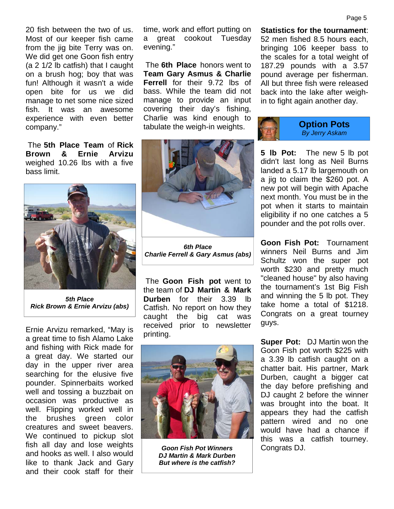20 fish between the two of us. Most of our keeper fish came from the jig bite Terry was on. We did get one Goon fish entry (a 2 1/2 lb catfish) that I caught on a brush hog; boy that was fun! Although it wasn't a wide open bite for us we did manage to net some nice sized fish. It was an awesome experience with even better company."

 The **5th Place Team** of **Rick Brown & Ernie Arvizu**  weighed 10.26 lbs with a five bass limit.



*5th Place Rick Brown & Ernie Arvizu (abs)* 

Ernie Arvizu remarked, "May is a great time to fish Alamo Lake and fishing with Rick made for a great day. We started our day in the upper river area searching for the elusive five pounder. Spinnerbaits worked well and tossing a buzzbait on occasion was productive as well. Flipping worked well in the brushes green color creatures and sweet beavers. We continued to pickup slot fish all day and lose weights and hooks as well. I also would like to thank Jack and Gary and their cook staff for their time, work and effort putting on a great cookout Tuesday evening."

 The **6th Place** honors went to **Team Gary Asmus & Charlie Ferrell** for their 9.72 lbs of bass. While the team did not manage to provide an input covering their day's fishing, Charlie was kind enough to tabulate the weigh-in weights.



*6th Place Charlie Ferrell & Gary Asmus (abs)* 

 The **Goon Fish pot** went to the team of **DJ Martin & Mark Durben** for their 3.39 lb Catfish. No report on how they caught the big cat was received prior to newsletter printing.



*Goon Fish Pot Winners DJ Martin & Mark Durben But where is the catfish?*

**Statistics for the tournament**: 52 men fished 8.5 hours each, bringing 106 keeper bass to the scales for a total weight of 187.29 pounds with a 3.57 pound average per fisherman. All but three fish were released back into the lake after weighin to fight again another day.



**5 lb Pot:** The new 5 lb pot didn't last long as Neil Burns landed a 5.17 lb largemouth on a jig to claim the \$260 pot. A new pot will begin with Apache next month. You must be in the pot when it starts to maintain eligibility if no one catches a 5 pounder and the pot rolls over.

**Goon Fish Pot:** Tournament winners Neil Burns and Jim Schultz won the super pot worth \$230 and pretty much "cleaned house" by also having the tournament's 1st Big Fish and winning the 5 lb pot. They take home a total of \$1218. Congrats on a great tourney guys.

**Super Pot:** DJ Martin won the Goon Fish pot worth \$225 with a 3.39 lb catfish caught on a chatter bait. His partner, Mark Durben, caught a bigger cat the day before prefishing and DJ caught 2 before the winner was brought into the boat. It appears they had the catfish pattern wired and no one would have had a chance if this was a catfish tourney. Congrats DJ.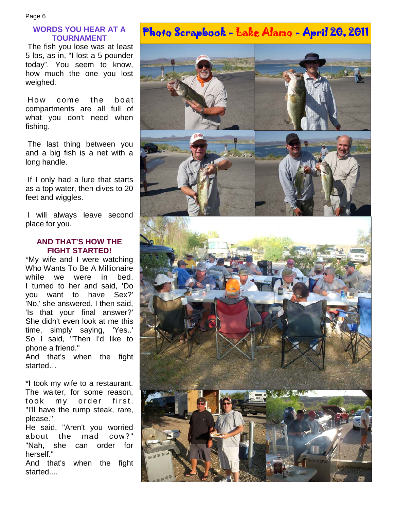## **WORDS YOU HEAR AT A TOURNAMENT**

 The fish you lose was at least 5 lbs, as in, "I lost a 5 pounder today". You seem to know, how much the one you lost weighed.

How come the boat compartments are all full of what you don't need when fishing.

 The last thing between you and a big fish is a net with a long handle.

 If I only had a lure that starts as a top water, then dives to 20 feet and wiggles.

 I will always leave second place for you.

### **AND THAT'S HOW THE FIGHT STARTED!**

\*My wife and I were watching Who Wants To Be A Millionaire while we were in bed. I turned to her and said, 'Do you want to have Sex?' 'No,' she answered. I then said, 'Is that your final answer?' She didn't even look at me this time, simply saying, 'Yes..' So I said, "Then I'd like to phone a friend."

And that's when the fight started…

\*I took my wife to a restaurant. The waiter, for some reason, took my order first. "I'll have the rump steak, rare, please."

He said, "Aren't you worried about the mad cow?" "Nah, she can order for herself."

And that's when the fight started....

# Photo Scrapbook - Lake Alamo - April 20, 2011

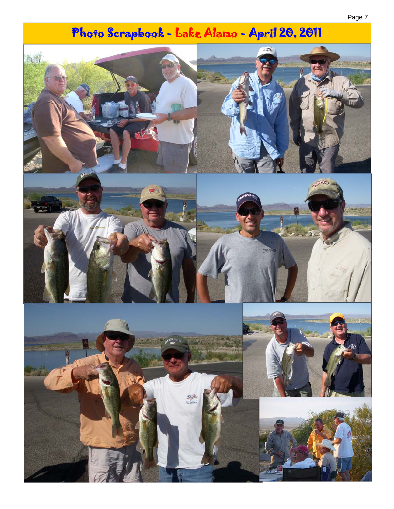# Photo Scrapbook - Lake Alamo - April 20, 2011